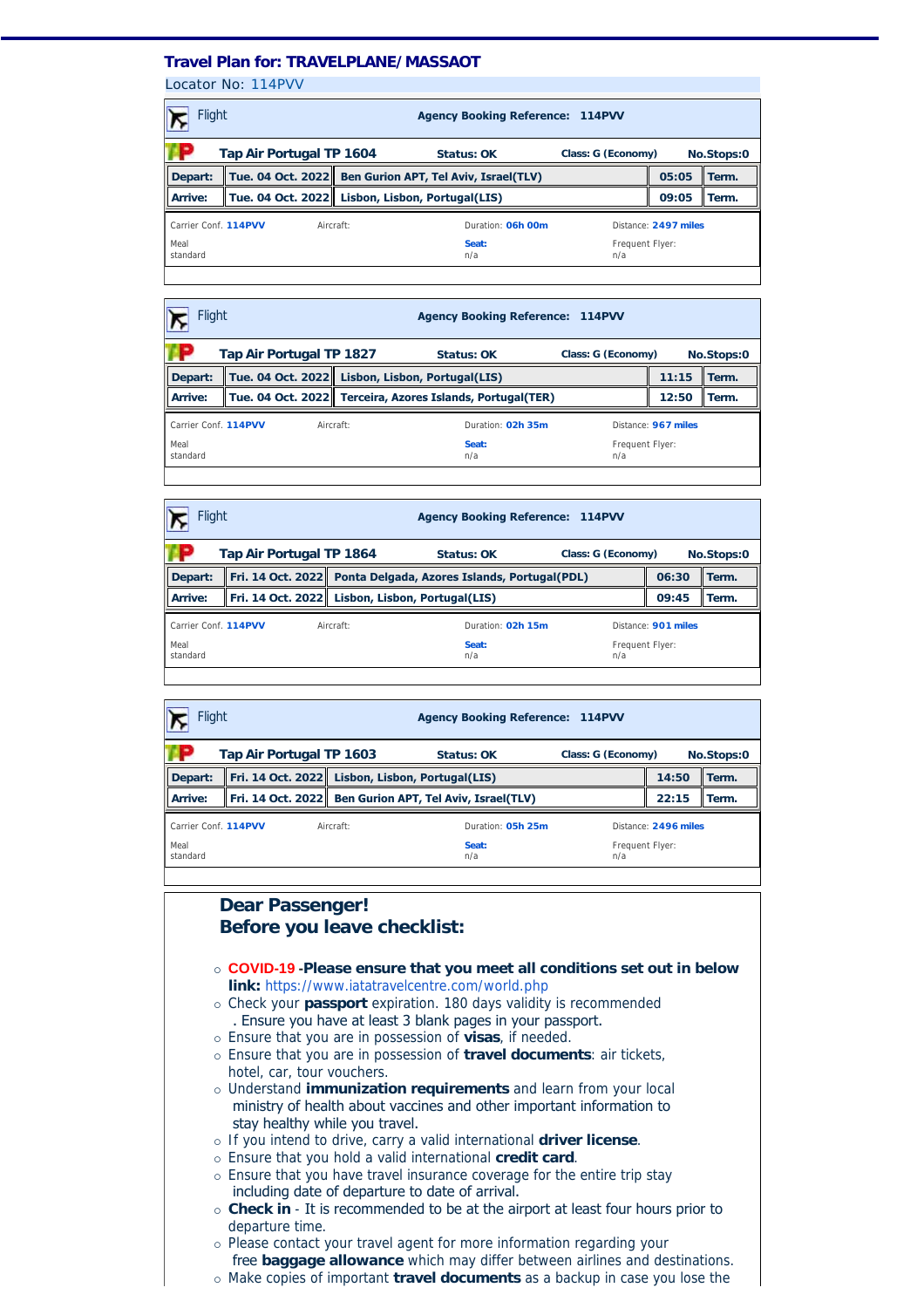## **Travel Plan for: TRAVELPLANE/MASSAOT**

Locator No: [114PVV](https://travel-management:44302/PassengersInPnr.aspx?pnr=114PVV&past=True&name=&office=&update=False&provider=AMSALEM&format=MjQgSG91cg==&brand=2&menu=False&fromversion=0&history=-1)

| <b>Flight</b>                                                |  |           | <b>Agency Booking Reference: 114PVV</b>                 |                        |                      |            |  |
|--------------------------------------------------------------|--|-----------|---------------------------------------------------------|------------------------|----------------------|------------|--|
| Tap Air Portugal TP 1604<br>Class: G (Economy)<br>Status: OK |  |           |                                                         |                        |                      | No.Stops:0 |  |
| Depart:                                                      |  |           | Tue. 04 Oct. 2022 Ben Gurion APT, Tel Aviv, Israel(TLV) |                        | 05:05                | Term.      |  |
| Arrive:                                                      |  |           | Tue. 04 Oct. 2022   Lisbon, Lisbon, Portugal(LIS)       |                        | 09:05                | Term.      |  |
| Carrier Conf. 114PVV                                         |  | Aircraft: | Duration: 06h 00m                                       |                        | Distance: 2497 miles |            |  |
| Meal<br>standard                                             |  |           | Seat:<br>n/a                                            | Frequent Flyer:<br>n/a |                      |            |  |
|                                                              |  |           |                                                         |                        |                      |            |  |

| <b>Flight</b><br><b>Agency Booking Reference: 114PVV</b> |                          |  |                                                 |                                                           |                        |                     |            |  |
|----------------------------------------------------------|--------------------------|--|-------------------------------------------------|-----------------------------------------------------------|------------------------|---------------------|------------|--|
|                                                          | Tap Air Portugal TP 1827 |  |                                                 | Status: OK                                                | Class: G (Economy)     |                     | No.Stops:0 |  |
| Depart:                                                  |                          |  | Tue. 04 Oct. 2022 Lisbon, Lisbon, Portugal(LIS) |                                                           |                        | 11:15               | Term.      |  |
| Arrive:                                                  |                          |  |                                                 | Tue. 04 Oct. 2022 Terceira, Azores Islands, Portugal(TER) |                        | 12:50               | Term.      |  |
| Carrier Conf. 114PVV<br>Aircraft:                        |                          |  |                                                 | Duration: 02h 35m                                         |                        | Distance: 967 miles |            |  |
| Meal<br>standard                                         |                          |  |                                                 | Seat:<br>n/a                                              | Frequent Flyer:<br>n/a |                     |            |  |
|                                                          |                          |  |                                                 |                                                           |                        |                     |            |  |

| Flight<br><b>Agency Booking Reference: 114PVV</b>            |  |  |                                                                  |                        |                     |            |  |
|--------------------------------------------------------------|--|--|------------------------------------------------------------------|------------------------|---------------------|------------|--|
| Tap Air Portugal TP 1864<br>Class: G (Economy)<br>Status: OK |  |  |                                                                  |                        |                     | No.Stops:0 |  |
| Depart:                                                      |  |  | Fri. 14 Oct. 2022   Ponta Delgada, Azores Islands, Portugal(PDL) |                        | 06:30               | Term.      |  |
| Arrive:                                                      |  |  | Fri. 14 Oct. 2022 Lisbon, Lisbon, Portugal(LIS)                  |                        | 09:45               | Term.      |  |
| Carrier Conf. 114PVV<br>Aircraft:                            |  |  | Duration: 02h 15m                                                |                        | Distance: 901 miles |            |  |
| Meal<br>standard                                             |  |  | Seat:<br>n/a                                                     | Frequent Flyer:<br>n/a |                     |            |  |
|                                                              |  |  |                                                                  |                        |                     |            |  |

| <b>Flight</b><br><b>Agency Booking Reference: 114PVV</b>                       |  |                                                 |                                                         |                        |                |            |
|--------------------------------------------------------------------------------|--|-------------------------------------------------|---------------------------------------------------------|------------------------|----------------|------------|
| Tap Air Portugal TP 1603<br>Class: G (Economy)<br>Status: OK                   |  |                                                 |                                                         |                        |                | No.Stops:0 |
| Depart:                                                                        |  | Fri. 14 Oct. 2022 Lisbon, Lisbon, Portugal(LIS) |                                                         |                        | 14:50<br>Term. |            |
| Arrive:                                                                        |  |                                                 | Fri. 14 Oct. 2022 Ben Gurion APT, Tel Aviv, Israel(TLV) |                        | 22:15          | Term.      |
| Carrier Conf. 114PVV<br>Duration: 05h 25m<br>Distance: 2496 miles<br>Aircraft: |  |                                                 |                                                         |                        |                |            |
| Meal<br>standard                                                               |  |                                                 | Seat:<br>n/a                                            | Frequent Flyer:<br>n/a |                |            |

## **Dear Passenger! Before you leave checklist:**

- ¡ **COVID-19 -Please ensure that you meet all conditions set out in below link:** <https://www.iatatravelcentre.com/world.php>
- ¡ Check your **passport** expiration. 180 days validity is recommended . Ensure you have at least 3 blank pages in your passport.
- ¡ Ensure that you are in possession of **visas**, if needed.
- ¡ Ensure that you are in possession of **travel documents**: air tickets, hotel, car, tour vouchers.
- ¡ Understand **immunization requirements** and learn from your local ministry of health about vaccines and other important information to stay healthy while you travel.
- ¡ If you intend to drive, carry a valid international **driver license**.
- ¡ Ensure that you hold a valid international **credit card**.
- o Ensure that you have travel insurance coverage for the entire trip stay including date of departure to date of arrival.
- ¡ **Check in** It is recommended to be at the airport at least four hours prior to departure time.
- ¡ Please contact your travel agent for more information regarding your free **baggage allowance** which may differ between airlines and destinations.
- ¡ Make copies of important **travel documents** as a backup in case you lose the